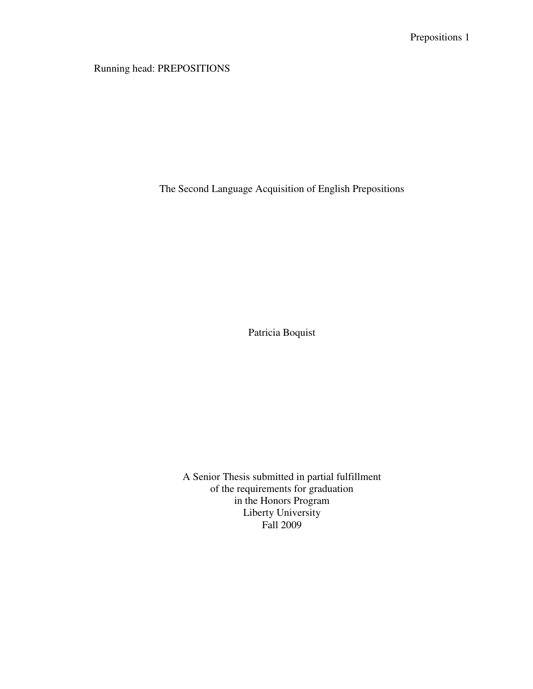# Running head: PREPOSITIONS

The Second Language Acquisition of English Prepositions

Patricia Boquist

A Senior Thesis submitted in partial fulfillment of the requirements for graduation in the Honors Program Liberty University Fall 2009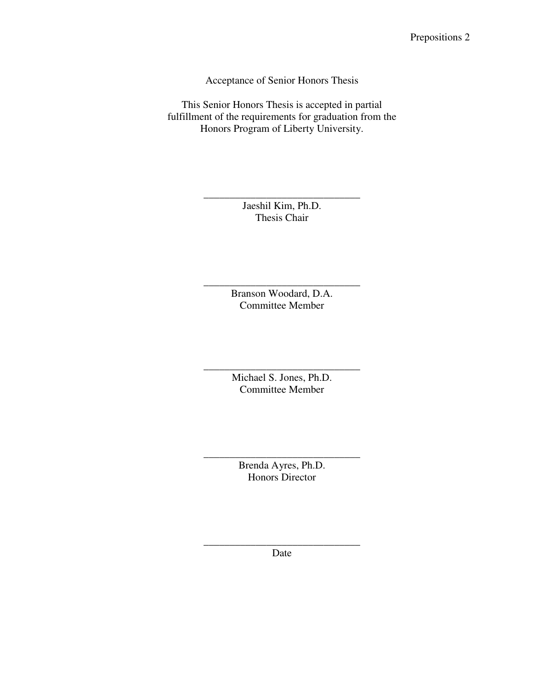Acceptance of Senior Honors Thesis

This Senior Honors Thesis is accepted in partial fulfillment of the requirements for graduation from the Honors Program of Liberty University.

> Jaeshil Kim, Ph.D. Thesis Chair

\_\_\_\_\_\_\_\_\_\_\_\_\_\_\_\_\_\_\_\_\_\_\_\_\_\_\_\_\_\_

Branson Woodard, D.A. Committee Member

\_\_\_\_\_\_\_\_\_\_\_\_\_\_\_\_\_\_\_\_\_\_\_\_\_\_\_\_\_\_

Michael S. Jones, Ph.D. Committee Member

\_\_\_\_\_\_\_\_\_\_\_\_\_\_\_\_\_\_\_\_\_\_\_\_\_\_\_\_\_\_

Brenda Ayres, Ph.D. Honors Director

\_\_\_\_\_\_\_\_\_\_\_\_\_\_\_\_\_\_\_\_\_\_\_\_\_\_\_\_\_\_

\_\_\_\_\_\_\_\_\_\_\_\_\_\_\_\_\_\_\_\_\_\_\_\_\_\_\_\_\_\_ Date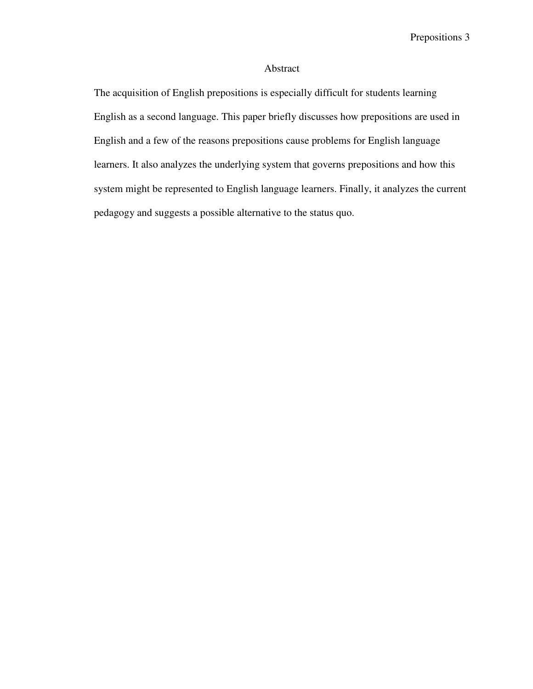# Abstract

The acquisition of English prepositions is especially difficult for students learning English as a second language. This paper briefly discusses how prepositions are used in English and a few of the reasons prepositions cause problems for English language learners. It also analyzes the underlying system that governs prepositions and how this system might be represented to English language learners. Finally, it analyzes the current pedagogy and suggests a possible alternative to the status quo.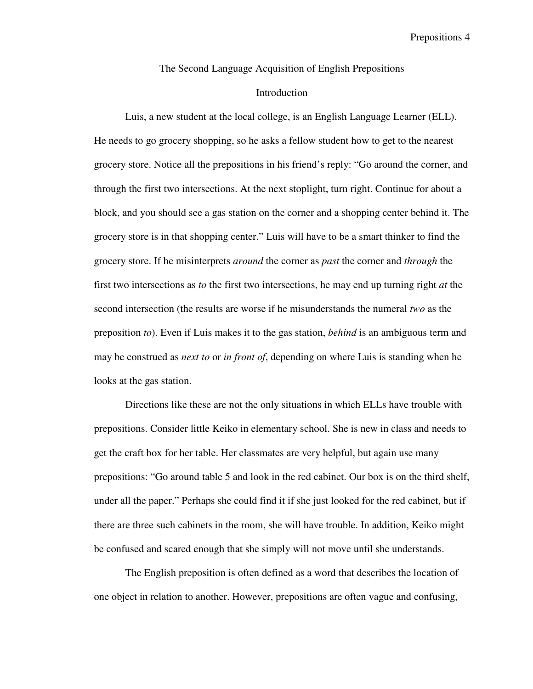The Second Language Acquisition of English Prepositions

### Introduction

Luis, a new student at the local college, is an English Language Learner (ELL). He needs to go grocery shopping, so he asks a fellow student how to get to the nearest grocery store. Notice all the prepositions in his friend's reply: "Go around the corner, and through the first two intersections. At the next stoplight, turn right. Continue for about a block, and you should see a gas station on the corner and a shopping center behind it. The grocery store is in that shopping center." Luis will have to be a smart thinker to find the grocery store. If he misinterprets *around* the corner as *past* the corner and *through* the first two intersections as *to* the first two intersections, he may end up turning right *at* the second intersection (the results are worse if he misunderstands the numeral *two* as the preposition *to*). Even if Luis makes it to the gas station, *behind* is an ambiguous term and may be construed as *next to* or *in front of*, depending on where Luis is standing when he looks at the gas station.

Directions like these are not the only situations in which ELLs have trouble with prepositions. Consider little Keiko in elementary school. She is new in class and needs to get the craft box for her table. Her classmates are very helpful, but again use many prepositions: "Go around table 5 and look in the red cabinet. Our box is on the third shelf, under all the paper." Perhaps she could find it if she just looked for the red cabinet, but if there are three such cabinets in the room, she will have trouble. In addition, Keiko might be confused and scared enough that she simply will not move until she understands.

The English preposition is often defined as a word that describes the location of one object in relation to another. However, prepositions are often vague and confusing,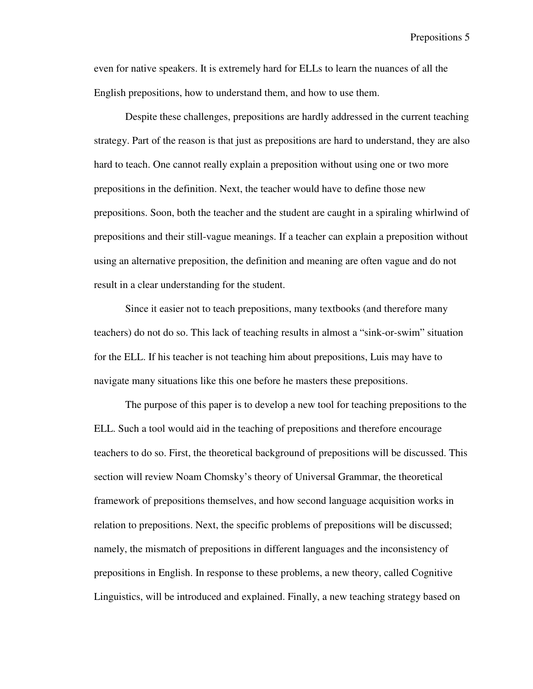even for native speakers. It is extremely hard for ELLs to learn the nuances of all the English prepositions, how to understand them, and how to use them.

Despite these challenges, prepositions are hardly addressed in the current teaching strategy. Part of the reason is that just as prepositions are hard to understand, they are also hard to teach. One cannot really explain a preposition without using one or two more prepositions in the definition. Next, the teacher would have to define those new prepositions. Soon, both the teacher and the student are caught in a spiraling whirlwind of prepositions and their still-vague meanings. If a teacher can explain a preposition without using an alternative preposition, the definition and meaning are often vague and do not result in a clear understanding for the student.

Since it easier not to teach prepositions, many textbooks (and therefore many teachers) do not do so. This lack of teaching results in almost a "sink-or-swim" situation for the ELL. If his teacher is not teaching him about prepositions, Luis may have to navigate many situations like this one before he masters these prepositions.

The purpose of this paper is to develop a new tool for teaching prepositions to the ELL. Such a tool would aid in the teaching of prepositions and therefore encourage teachers to do so. First, the theoretical background of prepositions will be discussed. This section will review Noam Chomsky's theory of Universal Grammar, the theoretical framework of prepositions themselves, and how second language acquisition works in relation to prepositions. Next, the specific problems of prepositions will be discussed; namely, the mismatch of prepositions in different languages and the inconsistency of prepositions in English. In response to these problems, a new theory, called Cognitive Linguistics, will be introduced and explained. Finally, a new teaching strategy based on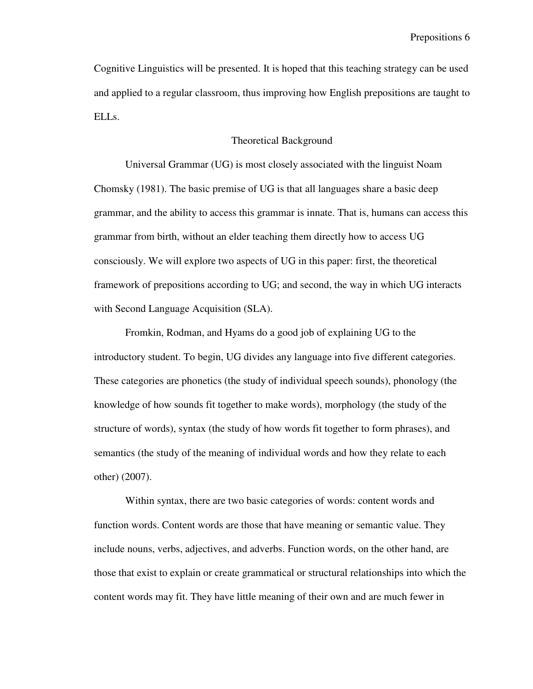Cognitive Linguistics will be presented. It is hoped that this teaching strategy can be used and applied to a regular classroom, thus improving how English prepositions are taught to ELLs.

### Theoretical Background

Universal Grammar (UG) is most closely associated with the linguist Noam Chomsky (1981). The basic premise of UG is that all languages share a basic deep grammar, and the ability to access this grammar is innate. That is, humans can access this grammar from birth, without an elder teaching them directly how to access UG consciously. We will explore two aspects of UG in this paper: first, the theoretical framework of prepositions according to UG; and second, the way in which UG interacts with Second Language Acquisition (SLA).

Fromkin, Rodman, and Hyams do a good job of explaining UG to the introductory student. To begin, UG divides any language into five different categories. These categories are phonetics (the study of individual speech sounds), phonology (the knowledge of how sounds fit together to make words), morphology (the study of the structure of words), syntax (the study of how words fit together to form phrases), and semantics (the study of the meaning of individual words and how they relate to each other) (2007).

Within syntax, there are two basic categories of words: content words and function words. Content words are those that have meaning or semantic value. They include nouns, verbs, adjectives, and adverbs. Function words, on the other hand, are those that exist to explain or create grammatical or structural relationships into which the content words may fit. They have little meaning of their own and are much fewer in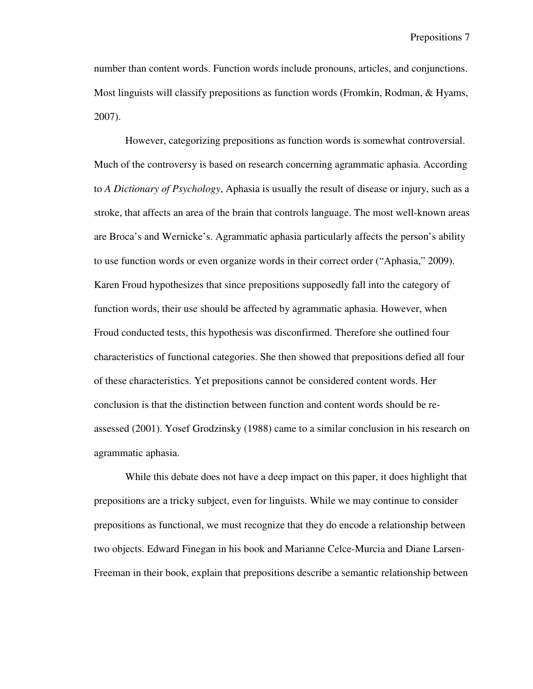number than content words. Function words include pronouns, articles, and conjunctions. Most linguists will classify prepositions as function words (Fromkin, Rodman, & Hyams, 2007).

However, categorizing prepositions as function words is somewhat controversial. Much of the controversy is based on research concerning agrammatic aphasia. According to *A Dictionary of Psychology*, Aphasia is usually the result of disease or injury, such as a stroke, that affects an area of the brain that controls language. The most well-known areas are Broca's and Wernicke's. Agrammatic aphasia particularly affects the person's ability to use function words or even organize words in their correct order ("Aphasia," 2009). Karen Froud hypothesizes that since prepositions supposedly fall into the category of function words, their use should be affected by agrammatic aphasia. However, when Froud conducted tests, this hypothesis was disconfirmed. Therefore she outlined four characteristics of functional categories. She then showed that prepositions defied all four of these characteristics. Yet prepositions cannot be considered content words. Her conclusion is that the distinction between function and content words should be reassessed (2001). Yosef Grodzinsky (1988) came to a similar conclusion in his research on agrammatic aphasia.

While this debate does not have a deep impact on this paper, it does highlight that prepositions are a tricky subject, even for linguists. While we may continue to consider prepositions as functional, we must recognize that they do encode a relationship between two objects. Edward Finegan in his book and Marianne Celce-Murcia and Diane Larsen-Freeman in their book, explain that prepositions describe a semantic relationship between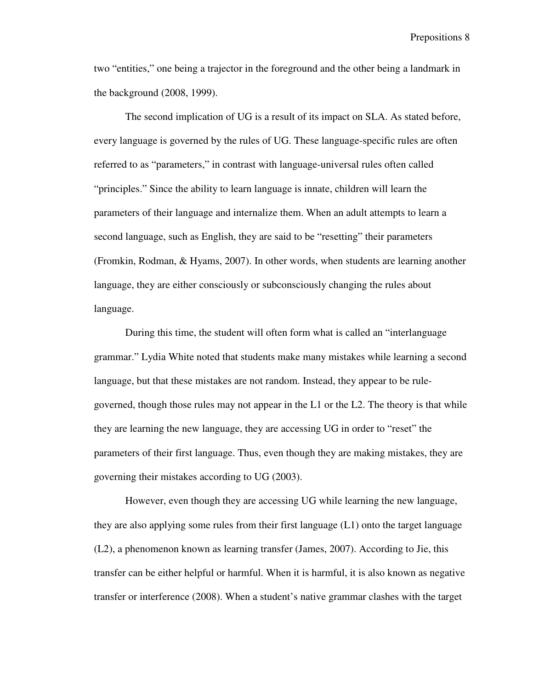two "entities," one being a trajector in the foreground and the other being a landmark in the background (2008, 1999).

The second implication of UG is a result of its impact on SLA. As stated before, every language is governed by the rules of UG. These language-specific rules are often referred to as "parameters," in contrast with language-universal rules often called "principles." Since the ability to learn language is innate, children will learn the parameters of their language and internalize them. When an adult attempts to learn a second language, such as English, they are said to be "resetting" their parameters (Fromkin, Rodman, & Hyams, 2007). In other words, when students are learning another language, they are either consciously or subconsciously changing the rules about language.

During this time, the student will often form what is called an "interlanguage grammar." Lydia White noted that students make many mistakes while learning a second language, but that these mistakes are not random. Instead, they appear to be rulegoverned, though those rules may not appear in the L1 or the L2. The theory is that while they are learning the new language, they are accessing UG in order to "reset" the parameters of their first language. Thus, even though they are making mistakes, they are governing their mistakes according to UG (2003).

However, even though they are accessing UG while learning the new language, they are also applying some rules from their first language  $(L1)$  onto the target language (L2), a phenomenon known as learning transfer (James, 2007). According to Jie, this transfer can be either helpful or harmful. When it is harmful, it is also known as negative transfer or interference (2008). When a student's native grammar clashes with the target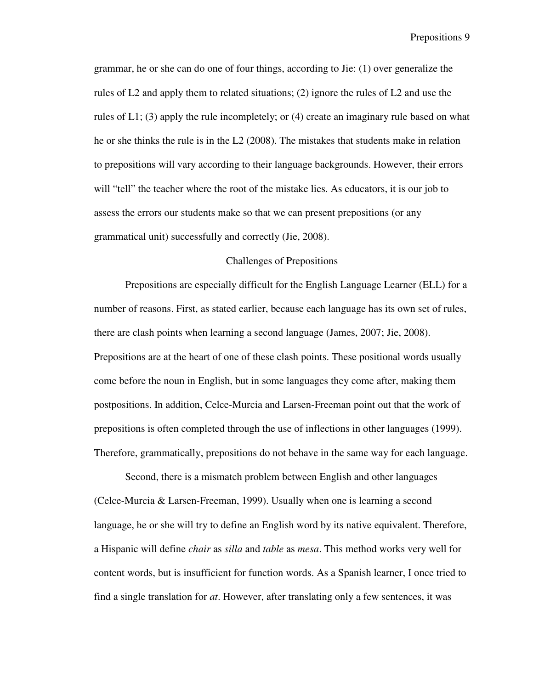grammar, he or she can do one of four things, according to Jie: (1) over generalize the rules of L2 and apply them to related situations; (2) ignore the rules of L2 and use the rules of L1; (3) apply the rule incompletely; or (4) create an imaginary rule based on what he or she thinks the rule is in the L2 (2008). The mistakes that students make in relation to prepositions will vary according to their language backgrounds. However, their errors will "tell" the teacher where the root of the mistake lies. As educators, it is our job to assess the errors our students make so that we can present prepositions (or any grammatical unit) successfully and correctly (Jie, 2008).

### Challenges of Prepositions

Prepositions are especially difficult for the English Language Learner (ELL) for a number of reasons. First, as stated earlier, because each language has its own set of rules, there are clash points when learning a second language (James, 2007; Jie, 2008). Prepositions are at the heart of one of these clash points. These positional words usually come before the noun in English, but in some languages they come after, making them postpositions. In addition, Celce-Murcia and Larsen-Freeman point out that the work of prepositions is often completed through the use of inflections in other languages (1999). Therefore, grammatically, prepositions do not behave in the same way for each language.

Second, there is a mismatch problem between English and other languages (Celce-Murcia & Larsen-Freeman, 1999). Usually when one is learning a second language, he or she will try to define an English word by its native equivalent. Therefore, a Hispanic will define *chair* as *silla* and *table* as *mesa*. This method works very well for content words, but is insufficient for function words. As a Spanish learner, I once tried to find a single translation for *at*. However, after translating only a few sentences, it was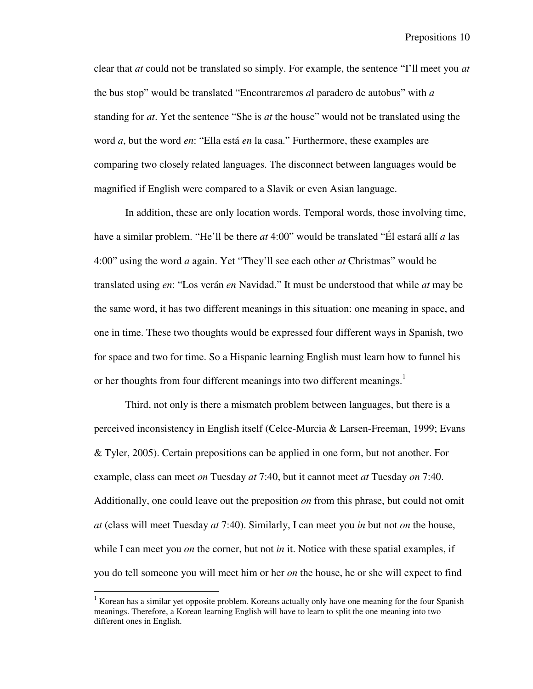clear that *at* could not be translated so simply. For example, the sentence "I'll meet you *at* the bus stop" would be translated "Encontraremos *a*l paradero de autobus" with *a* standing for *at*. Yet the sentence "She is *at* the house" would not be translated using the word *a*, but the word *en*: "Ella está *en* la casa." Furthermore, these examples are comparing two closely related languages. The disconnect between languages would be magnified if English were compared to a Slavik or even Asian language.

In addition, these are only location words. Temporal words, those involving time, have a similar problem. "He'll be there *at* 4:00" would be translated "Él estará allí *a* las 4:00" using the word *a* again. Yet "They'll see each other *at* Christmas" would be translated using *en*: "Los verán *en* Navidad." It must be understood that while *at* may be the same word, it has two different meanings in this situation: one meaning in space, and one in time. These two thoughts would be expressed four different ways in Spanish, two for space and two for time. So a Hispanic learning English must learn how to funnel his or her thoughts from four different meanings into two different meanings.<sup>1</sup>

Third, not only is there a mismatch problem between languages, but there is a perceived inconsistency in English itself (Celce-Murcia & Larsen-Freeman, 1999; Evans & Tyler, 2005). Certain prepositions can be applied in one form, but not another. For example, class can meet *on* Tuesday *at* 7:40, but it cannot meet *at* Tuesday *on* 7:40. Additionally, one could leave out the preposition *on* from this phrase, but could not omit *at* (class will meet Tuesday *at* 7:40). Similarly, I can meet you *in* but not *on* the house, while I can meet you *on* the corner, but not *in* it. Notice with these spatial examples, if you do tell someone you will meet him or her *on* the house, he or she will expect to find

 $\overline{a}$ 

<sup>&</sup>lt;sup>1</sup> Korean has a similar yet opposite problem. Koreans actually only have one meaning for the four Spanish meanings. Therefore, a Korean learning English will have to learn to split the one meaning into two different ones in English.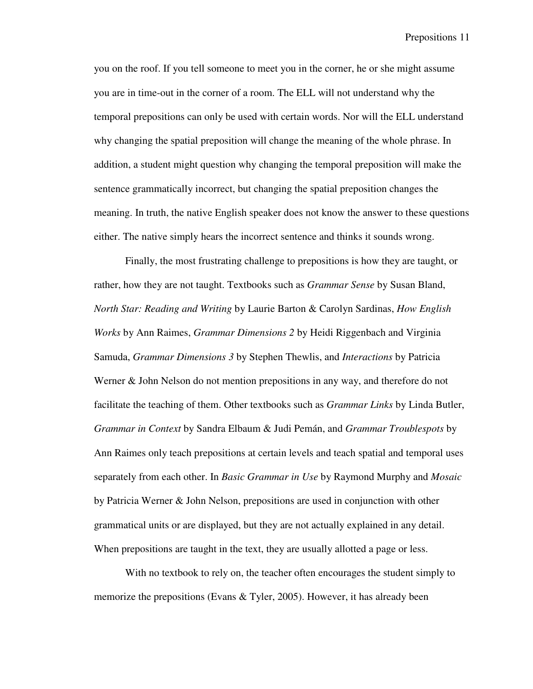you on the roof. If you tell someone to meet you in the corner, he or she might assume you are in time-out in the corner of a room. The ELL will not understand why the temporal prepositions can only be used with certain words. Nor will the ELL understand why changing the spatial preposition will change the meaning of the whole phrase. In addition, a student might question why changing the temporal preposition will make the sentence grammatically incorrect, but changing the spatial preposition changes the meaning. In truth, the native English speaker does not know the answer to these questions either. The native simply hears the incorrect sentence and thinks it sounds wrong.

Finally, the most frustrating challenge to prepositions is how they are taught, or rather, how they are not taught. Textbooks such as *Grammar Sense* by Susan Bland, *North Star: Reading and Writing* by Laurie Barton & Carolyn Sardinas, *How English Works* by Ann Raimes, *Grammar Dimensions 2* by Heidi Riggenbach and Virginia Samuda, *Grammar Dimensions 3* by Stephen Thewlis, and *Interactions* by Patricia Werner & John Nelson do not mention prepositions in any way, and therefore do not facilitate the teaching of them. Other textbooks such as *Grammar Links* by Linda Butler, *Grammar in Context* by Sandra Elbaum & Judi Pemán, and *Grammar Troublespots* by Ann Raimes only teach prepositions at certain levels and teach spatial and temporal uses separately from each other. In *Basic Grammar in Use* by Raymond Murphy and *Mosaic* by Patricia Werner & John Nelson, prepositions are used in conjunction with other grammatical units or are displayed, but they are not actually explained in any detail. When prepositions are taught in the text, they are usually allotted a page or less.

With no textbook to rely on, the teacher often encourages the student simply to memorize the prepositions (Evans & Tyler, 2005). However, it has already been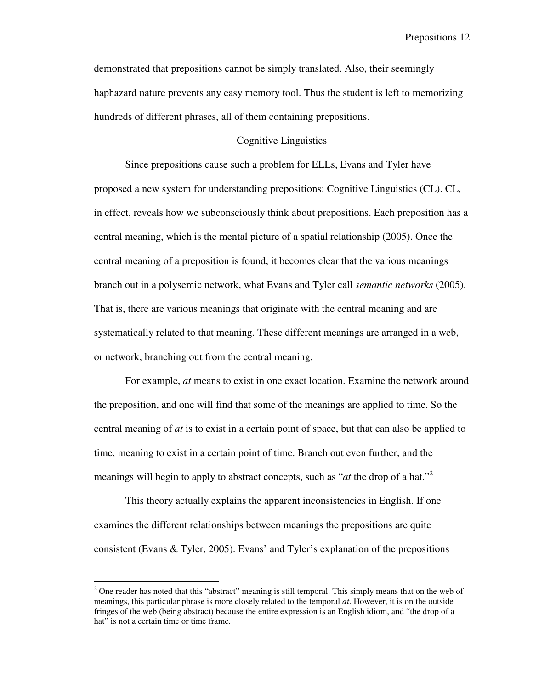demonstrated that prepositions cannot be simply translated. Also, their seemingly haphazard nature prevents any easy memory tool. Thus the student is left to memorizing hundreds of different phrases, all of them containing prepositions.

### Cognitive Linguistics

Since prepositions cause such a problem for ELLs, Evans and Tyler have proposed a new system for understanding prepositions: Cognitive Linguistics (CL). CL, in effect, reveals how we subconsciously think about prepositions. Each preposition has a central meaning, which is the mental picture of a spatial relationship (2005). Once the central meaning of a preposition is found, it becomes clear that the various meanings branch out in a polysemic network, what Evans and Tyler call *semantic networks* (2005). That is, there are various meanings that originate with the central meaning and are systematically related to that meaning. These different meanings are arranged in a web, or network, branching out from the central meaning.

For example, *at* means to exist in one exact location. Examine the network around the preposition, and one will find that some of the meanings are applied to time. So the central meaning of *at* is to exist in a certain point of space, but that can also be applied to time, meaning to exist in a certain point of time. Branch out even further, and the meanings will begin to apply to abstract concepts, such as "*at* the drop of a hat."<sup>2</sup>

This theory actually explains the apparent inconsistencies in English. If one examines the different relationships between meanings the prepositions are quite consistent (Evans & Tyler, 2005). Evans' and Tyler's explanation of the prepositions

1

 $2^2$  One reader has noted that this "abstract" meaning is still temporal. This simply means that on the web of meanings, this particular phrase is more closely related to the temporal *at*. However, it is on the outside fringes of the web (being abstract) because the entire expression is an English idiom, and "the drop of a hat" is not a certain time or time frame.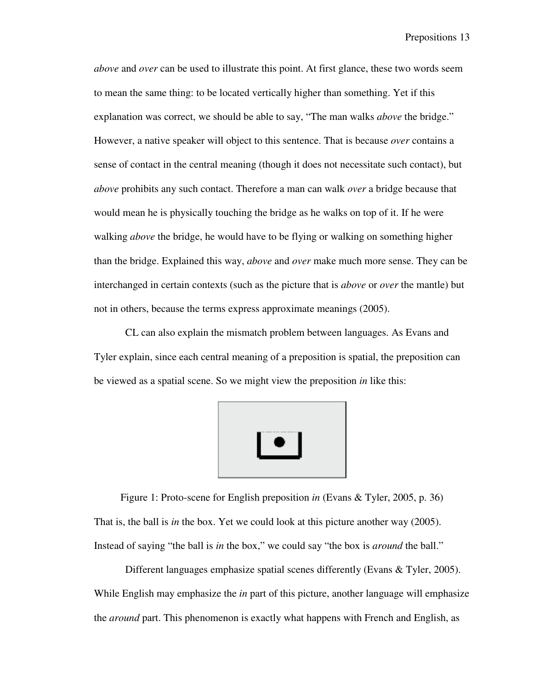*above* and *over* can be used to illustrate this point. At first glance, these two words seem to mean the same thing: to be located vertically higher than something. Yet if this explanation was correct, we should be able to say, "The man walks *above* the bridge." However, a native speaker will object to this sentence. That is because *over* contains a sense of contact in the central meaning (though it does not necessitate such contact), but *above* prohibits any such contact. Therefore a man can walk *over* a bridge because that would mean he is physically touching the bridge as he walks on top of it. If he were walking *above* the bridge, he would have to be flying or walking on something higher than the bridge. Explained this way, *above* and *over* make much more sense. They can be interchanged in certain contexts (such as the picture that is *above* or *over* the mantle) but not in others, because the terms express approximate meanings (2005).

CL can also explain the mismatch problem between languages. As Evans and Tyler explain, since each central meaning of a preposition is spatial, the preposition can be viewed as a spatial scene. So we might view the preposition *in* like this:



Figure 1: Proto-scene for English preposition *in* (Evans & Tyler, 2005, p. 36) That is, the ball is *in* the box. Yet we could look at this picture another way (2005). Instead of saying "the ball is *in* the box," we could say "the box is *around* the ball."

 Different languages emphasize spatial scenes differently (Evans & Tyler, 2005). While English may emphasize the *in* part of this picture, another language will emphasize the *around* part. This phenomenon is exactly what happens with French and English, as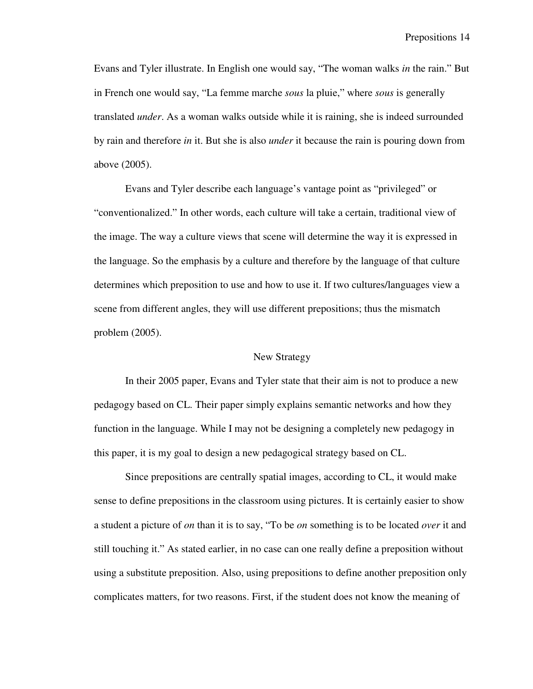Evans and Tyler illustrate. In English one would say, "The woman walks *in* the rain." But in French one would say, "La femme marche *sous* la pluie," where *sous* is generally translated *under*. As a woman walks outside while it is raining, she is indeed surrounded by rain and therefore *in* it. But she is also *under* it because the rain is pouring down from above (2005).

Evans and Tyler describe each language's vantage point as "privileged" or "conventionalized." In other words, each culture will take a certain, traditional view of the image. The way a culture views that scene will determine the way it is expressed in the language. So the emphasis by a culture and therefore by the language of that culture determines which preposition to use and how to use it. If two cultures/languages view a scene from different angles, they will use different prepositions; thus the mismatch problem (2005).

### New Strategy

In their 2005 paper, Evans and Tyler state that their aim is not to produce a new pedagogy based on CL. Their paper simply explains semantic networks and how they function in the language. While I may not be designing a completely new pedagogy in this paper, it is my goal to design a new pedagogical strategy based on CL.

Since prepositions are centrally spatial images, according to CL, it would make sense to define prepositions in the classroom using pictures. It is certainly easier to show a student a picture of *on* than it is to say, "To be *on* something is to be located *over* it and still touching it." As stated earlier, in no case can one really define a preposition without using a substitute preposition. Also, using prepositions to define another preposition only complicates matters, for two reasons. First, if the student does not know the meaning of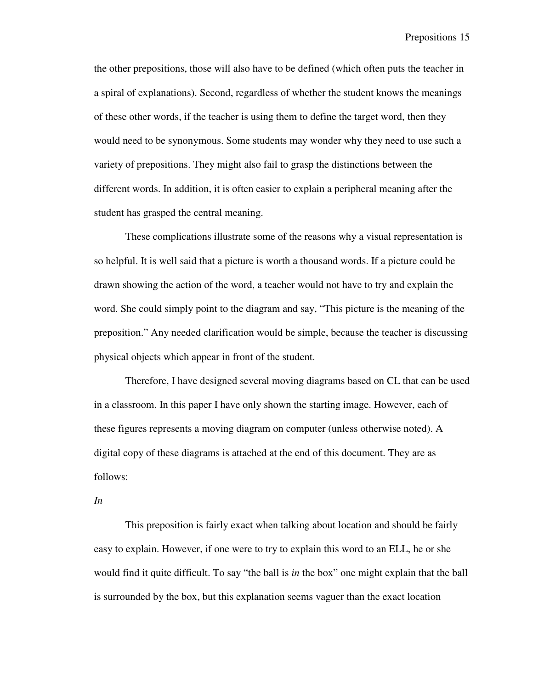the other prepositions, those will also have to be defined (which often puts the teacher in a spiral of explanations). Second, regardless of whether the student knows the meanings of these other words, if the teacher is using them to define the target word, then they would need to be synonymous. Some students may wonder why they need to use such a variety of prepositions. They might also fail to grasp the distinctions between the different words. In addition, it is often easier to explain a peripheral meaning after the student has grasped the central meaning.

These complications illustrate some of the reasons why a visual representation is so helpful. It is well said that a picture is worth a thousand words. If a picture could be drawn showing the action of the word, a teacher would not have to try and explain the word. She could simply point to the diagram and say, "This picture is the meaning of the preposition." Any needed clarification would be simple, because the teacher is discussing physical objects which appear in front of the student.

Therefore, I have designed several moving diagrams based on CL that can be used in a classroom. In this paper I have only shown the starting image. However, each of these figures represents a moving diagram on computer (unless otherwise noted). A digital copy of these diagrams is attached at the end of this document. They are as follows:

#### *In*

 This preposition is fairly exact when talking about location and should be fairly easy to explain. However, if one were to try to explain this word to an ELL, he or she would find it quite difficult. To say "the ball is *in* the box" one might explain that the ball is surrounded by the box, but this explanation seems vaguer than the exact location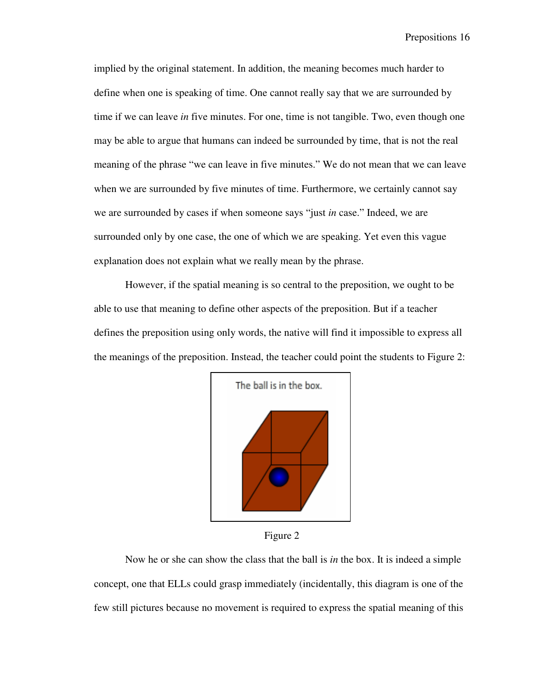implied by the original statement. In addition, the meaning becomes much harder to define when one is speaking of time. One cannot really say that we are surrounded by time if we can leave *in* five minutes. For one, time is not tangible. Two, even though one may be able to argue that humans can indeed be surrounded by time, that is not the real meaning of the phrase "we can leave in five minutes." We do not mean that we can leave when we are surrounded by five minutes of time. Furthermore, we certainly cannot say we are surrounded by cases if when someone says "just *in* case." Indeed, we are surrounded only by one case, the one of which we are speaking. Yet even this vague explanation does not explain what we really mean by the phrase.

However, if the spatial meaning is so central to the preposition, we ought to be able to use that meaning to define other aspects of the preposition. But if a teacher defines the preposition using only words, the native will find it impossible to express all the meanings of the preposition. Instead, the teacher could point the students to Figure 2:



Figure 2

Now he or she can show the class that the ball is *in* the box. It is indeed a simple concept, one that ELLs could grasp immediately (incidentally, this diagram is one of the few still pictures because no movement is required to express the spatial meaning of this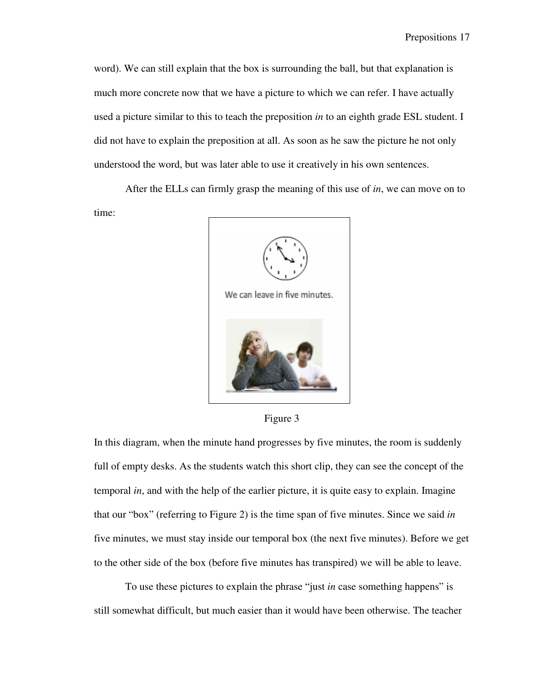word). We can still explain that the box is surrounding the ball, but that explanation is much more concrete now that we have a picture to which we can refer. I have actually used a picture similar to this to teach the preposition *in* to an eighth grade ESL student. I did not have to explain the preposition at all. As soon as he saw the picture he not only understood the word, but was later able to use it creatively in his own sentences.

After the ELLs can firmly grasp the meaning of this use of *in*, we can move on to time:



Figure 3

In this diagram, when the minute hand progresses by five minutes, the room is suddenly full of empty desks. As the students watch this short clip, they can see the concept of the temporal *in*, and with the help of the earlier picture, it is quite easy to explain. Imagine that our "box" (referring to Figure 2) is the time span of five minutes. Since we said *in* five minutes, we must stay inside our temporal box (the next five minutes). Before we get to the other side of the box (before five minutes has transpired) we will be able to leave.

 To use these pictures to explain the phrase "just *in* case something happens" is still somewhat difficult, but much easier than it would have been otherwise. The teacher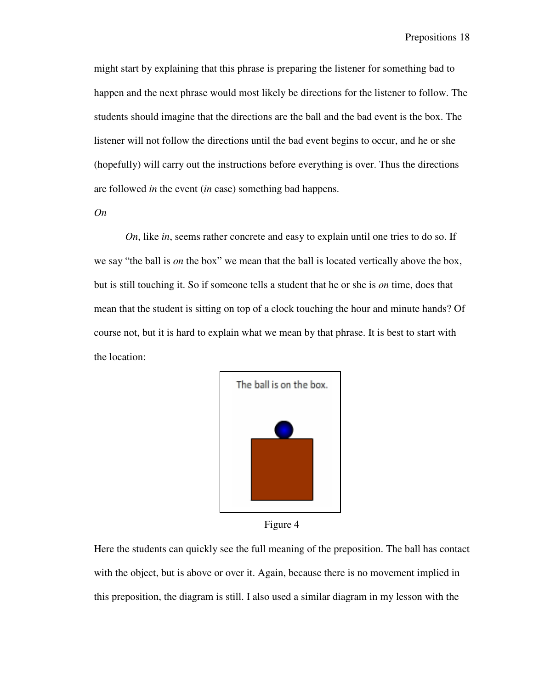might start by explaining that this phrase is preparing the listener for something bad to happen and the next phrase would most likely be directions for the listener to follow. The students should imagine that the directions are the ball and the bad event is the box. The listener will not follow the directions until the bad event begins to occur, and he or she (hopefully) will carry out the instructions before everything is over. Thus the directions are followed *in* the event (*in* case) something bad happens.

*On* 

*On*, like *in*, seems rather concrete and easy to explain until one tries to do so. If we say "the ball is *on* the box" we mean that the ball is located vertically above the box, but is still touching it. So if someone tells a student that he or she is *on* time, does that mean that the student is sitting on top of a clock touching the hour and minute hands? Of course not, but it is hard to explain what we mean by that phrase. It is best to start with the location:



Figure 4

Here the students can quickly see the full meaning of the preposition. The ball has contact with the object, but is above or over it. Again, because there is no movement implied in this preposition, the diagram is still. I also used a similar diagram in my lesson with the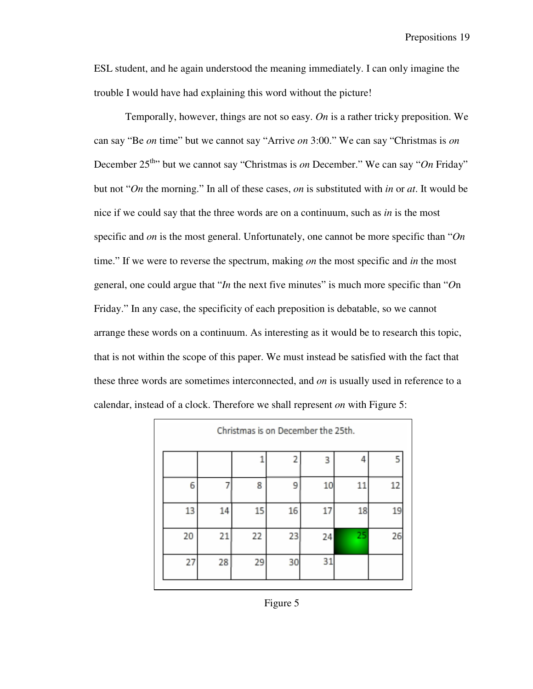ESL student, and he again understood the meaning immediately. I can only imagine the trouble I would have had explaining this word without the picture!

Temporally, however, things are not so easy. *On* is a rather tricky preposition. We can say "Be *on* time" but we cannot say "Arrive *on* 3:00." We can say "Christmas is *on* December 25<sup>th</sup>" but we cannot say "Christmas is *on* December." We can say "*On* Friday" but not "*On* the morning." In all of these cases, *on* is substituted with *in* or *at*. It would be nice if we could say that the three words are on a continuum, such as *in* is the most specific and *on* is the most general. Unfortunately, one cannot be more specific than "*On* time." If we were to reverse the spectrum, making *on* the most specific and *in* the most general, one could argue that "*In* the next five minutes" is much more specific than "*O*n Friday." In any case, the specificity of each preposition is debatable, so we cannot arrange these words on a continuum. As interesting as it would be to research this topic, that is not within the scope of this paper. We must instead be satisfied with the fact that these three words are sometimes interconnected, and *on* is usually used in reference to a calendar, instead of a clock. Therefore we shall represent *on* with Figure 5:

| Christmas is on December the 25th. |    |    |    |    |    |    |  |
|------------------------------------|----|----|----|----|----|----|--|
|                                    |    |    |    | R  |    | 5  |  |
| 6                                  |    | 8  | 9  | 10 | 11 | 12 |  |
| 13                                 | 14 | 15 | 16 | 17 | 18 | 19 |  |
| 20                                 | 21 | 22 | 23 | 24 | 25 | 26 |  |
| 27                                 | 28 | 29 | 30 | 31 |    |    |  |

Figure 5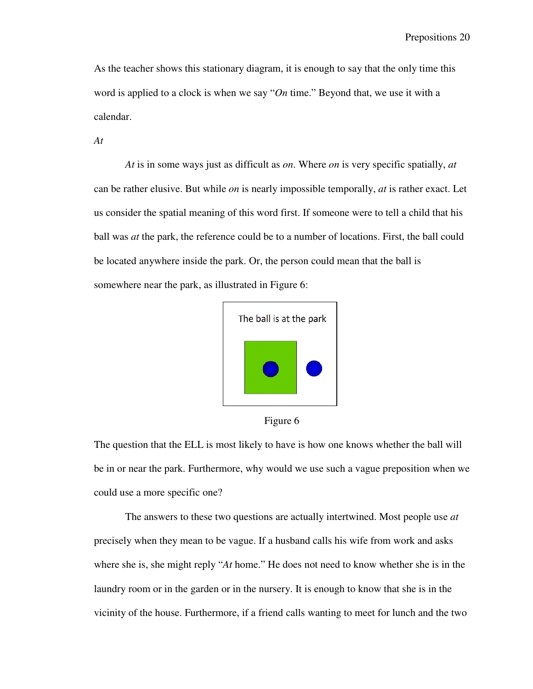As the teacher shows this stationary diagram, it is enough to say that the only time this word is applied to a clock is when we say "*On* time." Beyond that, we use it with a calendar.

*At* 

*At* is in some ways just as difficult as *on*. Where *on* is very specific spatially, *at* can be rather elusive. But while *on* is nearly impossible temporally, *at* is rather exact. Let us consider the spatial meaning of this word first. If someone were to tell a child that his ball was *at* the park, the reference could be to a number of locations. First, the ball could be located anywhere inside the park. Or, the person could mean that the ball is somewhere near the park, as illustrated in Figure 6:



Figure 6

The question that the ELL is most likely to have is how one knows whether the ball will be in or near the park. Furthermore, why would we use such a vague preposition when we could use a more specific one?

The answers to these two questions are actually intertwined. Most people use *at* precisely when they mean to be vague. If a husband calls his wife from work and asks where she is, she might reply "*At* home." He does not need to know whether she is in the laundry room or in the garden or in the nursery. It is enough to know that she is in the vicinity of the house. Furthermore, if a friend calls wanting to meet for lunch and the two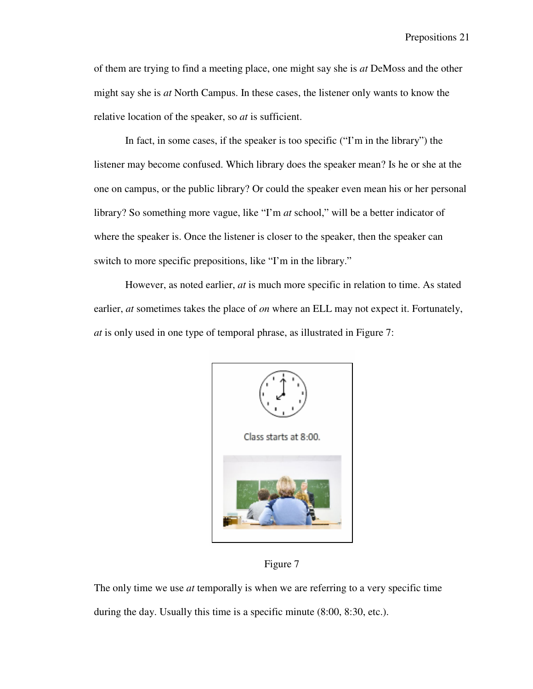of them are trying to find a meeting place, one might say she is *at* DeMoss and the other might say she is *at* North Campus. In these cases, the listener only wants to know the relative location of the speaker, so *at* is sufficient.

In fact, in some cases, if the speaker is too specific ("I'm in the library") the listener may become confused. Which library does the speaker mean? Is he or she at the one on campus, or the public library? Or could the speaker even mean his or her personal library? So something more vague, like "I'm *at* school," will be a better indicator of where the speaker is. Once the listener is closer to the speaker, then the speaker can switch to more specific prepositions, like "I'm in the library."

 However, as noted earlier, *at* is much more specific in relation to time. As stated earlier, *at* sometimes takes the place of *on* where an ELL may not expect it. Fortunately, *at* is only used in one type of temporal phrase, as illustrated in Figure 7:



Figure 7

The only time we use *at* temporally is when we are referring to a very specific time during the day. Usually this time is a specific minute (8:00, 8:30, etc.).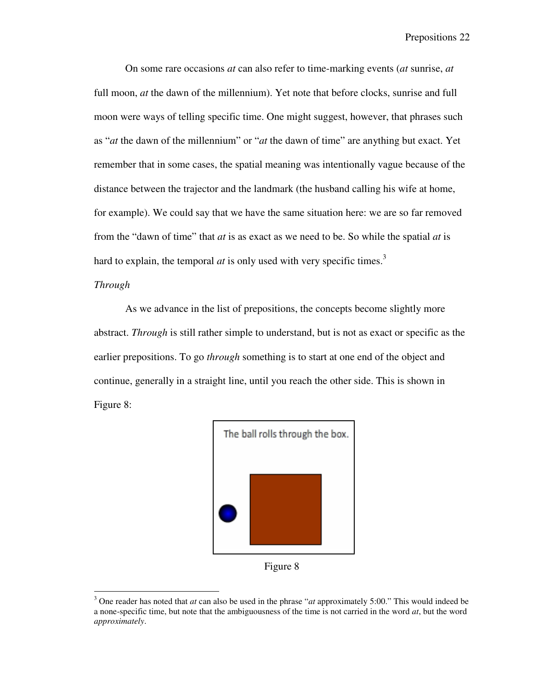On some rare occasions *at* can also refer to time-marking events (*at* sunrise, *at* full moon, *at* the dawn of the millennium). Yet note that before clocks, sunrise and full moon were ways of telling specific time. One might suggest, however, that phrases such as "*at* the dawn of the millennium" or "*at* the dawn of time" are anything but exact. Yet remember that in some cases, the spatial meaning was intentionally vague because of the distance between the trajector and the landmark (the husband calling his wife at home, for example). We could say that we have the same situation here: we are so far removed from the "dawn of time" that *at* is as exact as we need to be. So while the spatial *at* is hard to explain, the temporal *at* is only used with very specific times.<sup>3</sup>

### *Through*

 $\overline{a}$ 

As we advance in the list of prepositions, the concepts become slightly more abstract. *Through* is still rather simple to understand, but is not as exact or specific as the earlier prepositions. To go *through* something is to start at one end of the object and continue, generally in a straight line, until you reach the other side. This is shown in Figure 8:



Figure 8

<sup>3</sup> One reader has noted that *at* can also be used in the phrase "*at* approximately 5:00." This would indeed be a none-specific time, but note that the ambiguousness of the time is not carried in the word *at*, but the word *approximately*.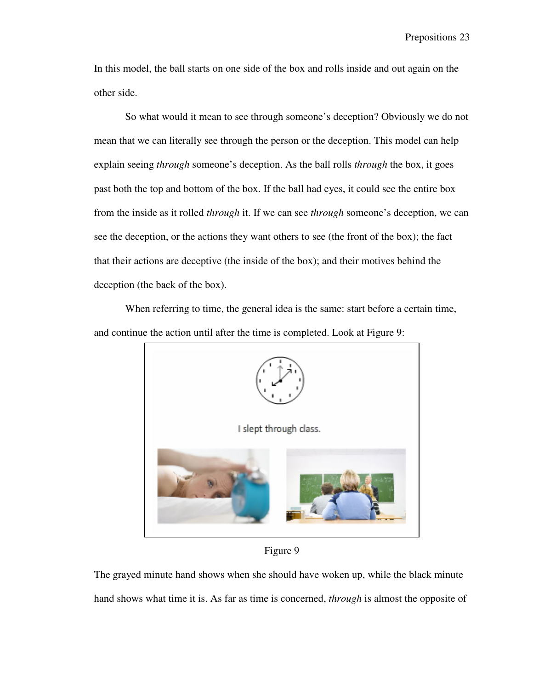In this model, the ball starts on one side of the box and rolls inside and out again on the other side.

So what would it mean to see through someone's deception? Obviously we do not mean that we can literally see through the person or the deception. This model can help explain seeing *through* someone's deception. As the ball rolls *through* the box, it goes past both the top and bottom of the box. If the ball had eyes, it could see the entire box from the inside as it rolled *through* it. If we can see *through* someone's deception, we can see the deception, or the actions they want others to see (the front of the box); the fact that their actions are deceptive (the inside of the box); and their motives behind the deception (the back of the box).

When referring to time, the general idea is the same: start before a certain time, and continue the action until after the time is completed. Look at Figure 9:



Figure 9

The grayed minute hand shows when she should have woken up, while the black minute hand shows what time it is. As far as time is concerned, *through* is almost the opposite of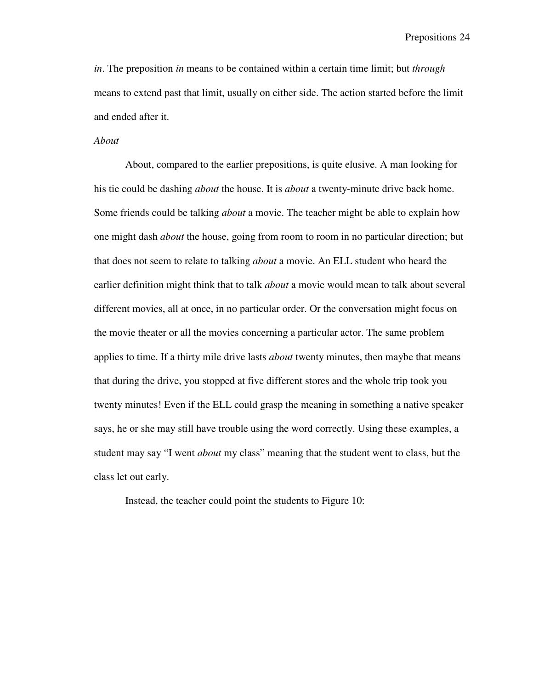*in*. The preposition *in* means to be contained within a certain time limit; but *through* means to extend past that limit, usually on either side. The action started before the limit and ended after it.

### *About*

About, compared to the earlier prepositions, is quite elusive. A man looking for his tie could be dashing *about* the house. It is *about* a twenty-minute drive back home. Some friends could be talking *about* a movie. The teacher might be able to explain how one might dash *about* the house, going from room to room in no particular direction; but that does not seem to relate to talking *about* a movie. An ELL student who heard the earlier definition might think that to talk *about* a movie would mean to talk about several different movies, all at once, in no particular order. Or the conversation might focus on the movie theater or all the movies concerning a particular actor. The same problem applies to time. If a thirty mile drive lasts *about* twenty minutes, then maybe that means that during the drive, you stopped at five different stores and the whole trip took you twenty minutes! Even if the ELL could grasp the meaning in something a native speaker says, he or she may still have trouble using the word correctly. Using these examples, a student may say "I went *about* my class" meaning that the student went to class, but the class let out early.

Instead, the teacher could point the students to Figure 10: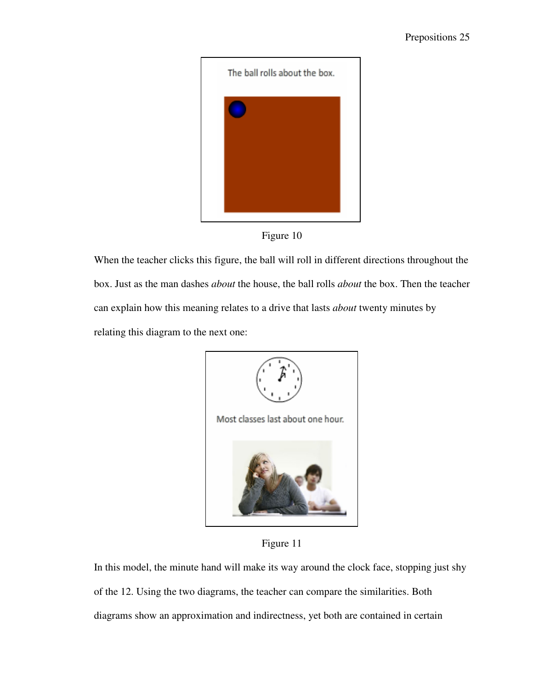



When the teacher clicks this figure, the ball will roll in different directions throughout the box. Just as the man dashes *about* the house, the ball rolls *about* the box. Then the teacher can explain how this meaning relates to a drive that lasts *about* twenty minutes by relating this diagram to the next one:



Figure 11

In this model, the minute hand will make its way around the clock face, stopping just shy of the 12. Using the two diagrams, the teacher can compare the similarities. Both diagrams show an approximation and indirectness, yet both are contained in certain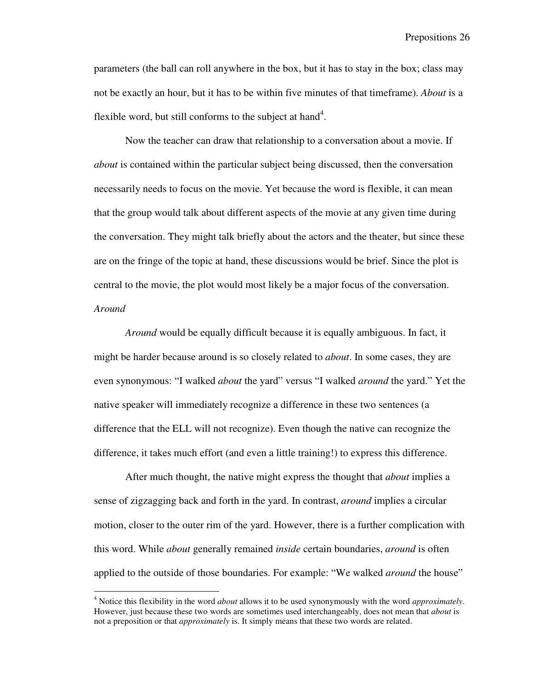parameters (the ball can roll anywhere in the box, but it has to stay in the box; class may not be exactly an hour, but it has to be within five minutes of that timeframe). *About* is a flexible word, but still conforms to the subject at hand<sup>4</sup>.

Now the teacher can draw that relationship to a conversation about a movie. If *about* is contained within the particular subject being discussed, then the conversation necessarily needs to focus on the movie. Yet because the word is flexible, it can mean that the group would talk about different aspects of the movie at any given time during the conversation. They might talk briefly about the actors and the theater, but since these are on the fringe of the topic at hand, these discussions would be brief. Since the plot is central to the movie, the plot would most likely be a major focus of the conversation. *Around* 

*Around* would be equally difficult because it is equally ambiguous. In fact, it might be harder because around is so closely related to *about*. In some cases, they are even synonymous: "I walked *about* the yard" versus "I walked *around* the yard." Yet the native speaker will immediately recognize a difference in these two sentences (a difference that the ELL will not recognize). Even though the native can recognize the difference, it takes much effort (and even a little training!) to express this difference.

After much thought, the native might express the thought that *about* implies a sense of zigzagging back and forth in the yard. In contrast, *around* implies a circular motion, closer to the outer rim of the yard. However, there is a further complication with this word. While *about* generally remained *inside* certain boundaries, *around* is often applied to the outside of those boundaries. For example: "We walked *around* the house"

 $\overline{a}$ 

<sup>4</sup> Notice this flexibility in the word *about* allows it to be used synonymously with the word *approximately*. However, just because these two words are sometimes used interchangeably, does not mean that *about* is not a preposition or that *approximately* is. It simply means that these two words are related.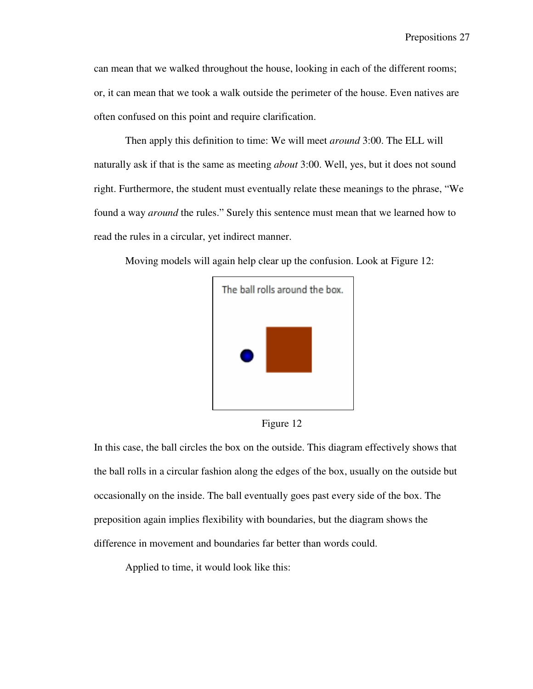can mean that we walked throughout the house, looking in each of the different rooms; or, it can mean that we took a walk outside the perimeter of the house. Even natives are often confused on this point and require clarification.

Then apply this definition to time: We will meet *around* 3:00. The ELL will naturally ask if that is the same as meeting *about* 3:00. Well, yes, but it does not sound right. Furthermore, the student must eventually relate these meanings to the phrase, "We found a way *around* the rules." Surely this sentence must mean that we learned how to read the rules in a circular, yet indirect manner.

Moving models will again help clear up the confusion. Look at Figure 12:



Figure 12

In this case, the ball circles the box on the outside. This diagram effectively shows that the ball rolls in a circular fashion along the edges of the box, usually on the outside but occasionally on the inside. The ball eventually goes past every side of the box. The preposition again implies flexibility with boundaries, but the diagram shows the difference in movement and boundaries far better than words could.

Applied to time, it would look like this: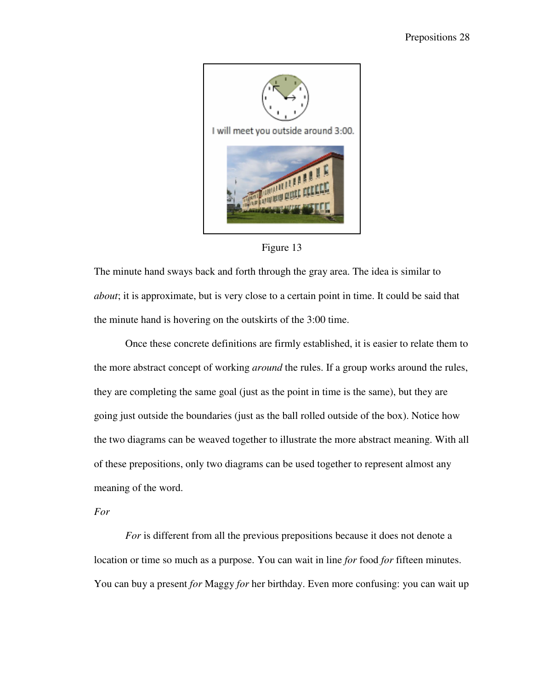

Figure 13

The minute hand sways back and forth through the gray area. The idea is similar to *about*; it is approximate, but is very close to a certain point in time. It could be said that the minute hand is hovering on the outskirts of the 3:00 time.

 Once these concrete definitions are firmly established, it is easier to relate them to the more abstract concept of working *around* the rules. If a group works around the rules, they are completing the same goal (just as the point in time is the same), but they are going just outside the boundaries (just as the ball rolled outside of the box). Notice how the two diagrams can be weaved together to illustrate the more abstract meaning. With all of these prepositions, only two diagrams can be used together to represent almost any meaning of the word.

# *For*

*For* is different from all the previous prepositions because it does not denote a location or time so much as a purpose. You can wait in line *for* food *for* fifteen minutes. You can buy a present *for* Maggy *for* her birthday. Even more confusing: you can wait up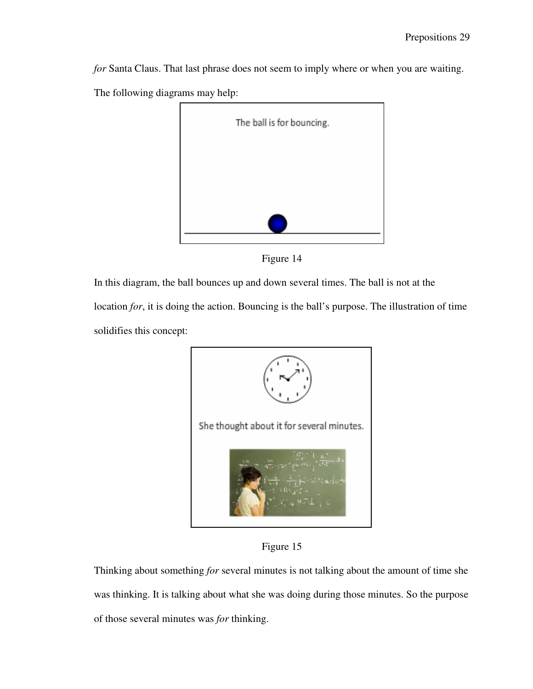*for* Santa Claus. That last phrase does not seem to imply where or when you are waiting.

The following diagrams may help:



Figure 14

In this diagram, the ball bounces up and down several times. The ball is not at the location *for*, it is doing the action. Bouncing is the ball's purpose. The illustration of time solidifies this concept:



Figure 15

Thinking about something *for* several minutes is not talking about the amount of time she was thinking. It is talking about what she was doing during those minutes. So the purpose of those several minutes was *for* thinking.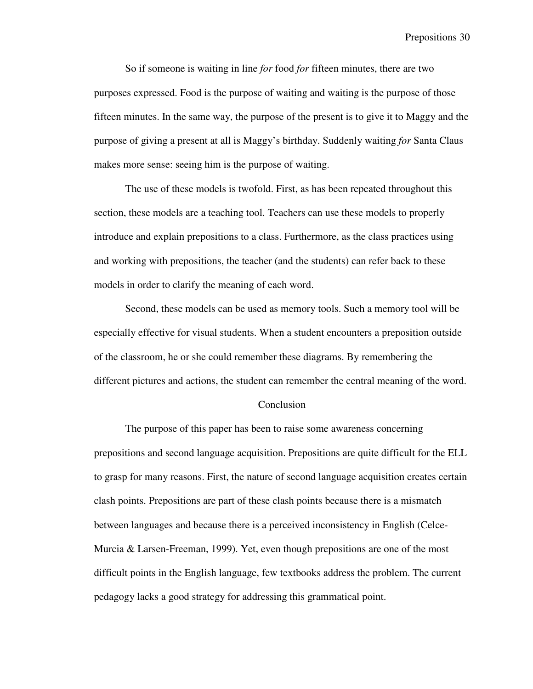So if someone is waiting in line *for* food *for* fifteen minutes, there are two purposes expressed. Food is the purpose of waiting and waiting is the purpose of those fifteen minutes. In the same way, the purpose of the present is to give it to Maggy and the purpose of giving a present at all is Maggy's birthday. Suddenly waiting *for* Santa Claus makes more sense: seeing him is the purpose of waiting.

 The use of these models is twofold. First, as has been repeated throughout this section, these models are a teaching tool. Teachers can use these models to properly introduce and explain prepositions to a class. Furthermore, as the class practices using and working with prepositions, the teacher (and the students) can refer back to these models in order to clarify the meaning of each word.

 Second, these models can be used as memory tools. Such a memory tool will be especially effective for visual students. When a student encounters a preposition outside of the classroom, he or she could remember these diagrams. By remembering the different pictures and actions, the student can remember the central meaning of the word.

#### Conclusion

 The purpose of this paper has been to raise some awareness concerning prepositions and second language acquisition. Prepositions are quite difficult for the ELL to grasp for many reasons. First, the nature of second language acquisition creates certain clash points. Prepositions are part of these clash points because there is a mismatch between languages and because there is a perceived inconsistency in English (Celce-Murcia & Larsen-Freeman, 1999). Yet, even though prepositions are one of the most difficult points in the English language, few textbooks address the problem. The current pedagogy lacks a good strategy for addressing this grammatical point.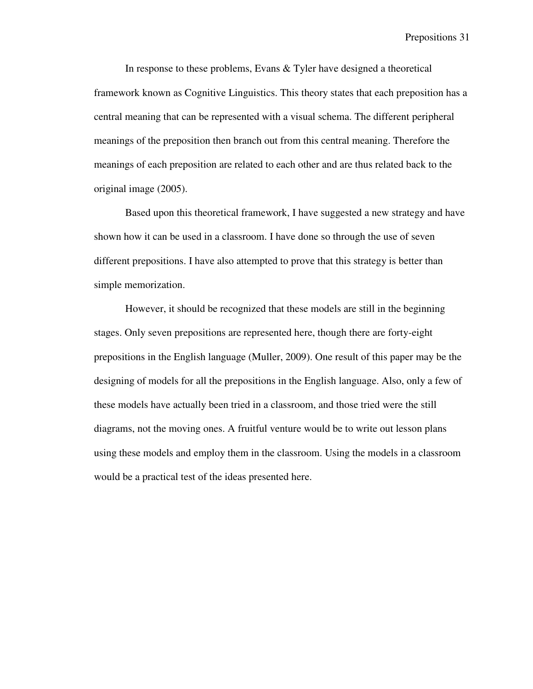In response to these problems, Evans & Tyler have designed a theoretical framework known as Cognitive Linguistics. This theory states that each preposition has a central meaning that can be represented with a visual schema. The different peripheral meanings of the preposition then branch out from this central meaning. Therefore the meanings of each preposition are related to each other and are thus related back to the original image (2005).

 Based upon this theoretical framework, I have suggested a new strategy and have shown how it can be used in a classroom. I have done so through the use of seven different prepositions. I have also attempted to prove that this strategy is better than simple memorization.

 However, it should be recognized that these models are still in the beginning stages. Only seven prepositions are represented here, though there are forty-eight prepositions in the English language (Muller, 2009). One result of this paper may be the designing of models for all the prepositions in the English language. Also, only a few of these models have actually been tried in a classroom, and those tried were the still diagrams, not the moving ones. A fruitful venture would be to write out lesson plans using these models and employ them in the classroom. Using the models in a classroom would be a practical test of the ideas presented here.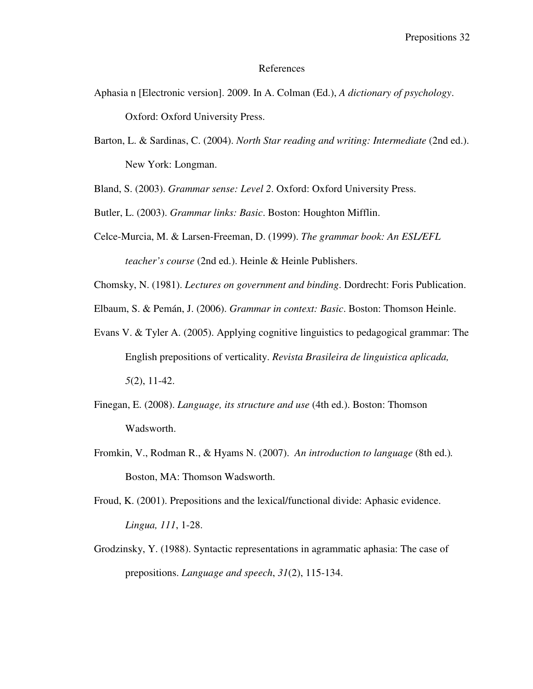#### References

- Aphasia n [Electronic version]. 2009. In A. Colman (Ed.), *A dictionary of psychology*. Oxford: Oxford University Press.
- Barton, L. & Sardinas, C. (2004). *North Star reading and writing: Intermediate* (2nd ed.). New York: Longman.

Bland, S. (2003). *Grammar sense: Level 2*. Oxford: Oxford University Press.

Butler, L. (2003). *Grammar links: Basic*. Boston: Houghton Mifflin.

Celce-Murcia, M. & Larsen-Freeman, D. (1999). *The grammar book: An ESL/EFL teacher's course* (2nd ed.). Heinle & Heinle Publishers.

Chomsky, N. (1981). *Lectures on government and binding*. Dordrecht: Foris Publication.

Elbaum, S. & Pemán, J. (2006). *Grammar in context: Basic*. Boston: Thomson Heinle.

- Evans V. & Tyler A. (2005). Applying cognitive linguistics to pedagogical grammar: The English prepositions of verticality. *Revista Brasileira de linguistica aplicada, 5*(2), 11-42.
- Finegan, E. (2008). *Language, its structure and use* (4th ed.). Boston: Thomson Wadsworth.
- Fromkin, V., Rodman R., & Hyams N. (2007). *An introduction to language* (8th ed.)*.*  Boston, MA: Thomson Wadsworth.
- Froud, K. (2001). Prepositions and the lexical/functional divide: Aphasic evidence. *Lingua, 111*, 1-28.
- Grodzinsky, Y. (1988). Syntactic representations in agrammatic aphasia: The case of prepositions. *Language and speech*, *31*(2), 115-134.